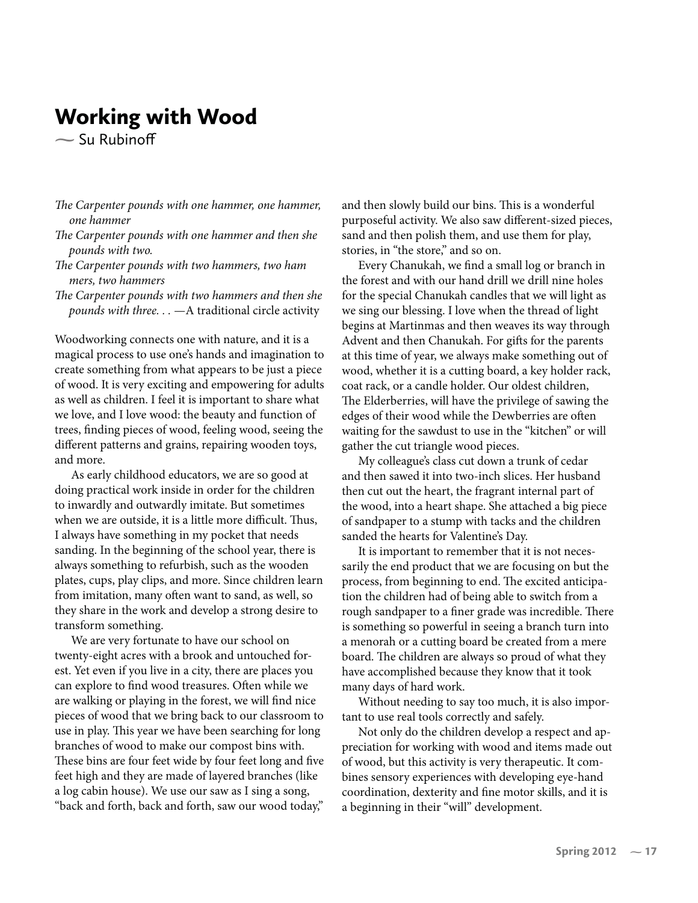## **Working with Wood**

 $\sim$  Su Rubinoff

- The Carpenter pounds with one hammer, one hammer, one hammer
- The Carpenter pounds with one hammer and then she pounds with two.
- The Carpenter pounds with two hammers, two ham mers, two hammers
- The Carpenter pounds with two hammers and then she pounds with three... - A traditional circle activity

Woodworking connects one with nature, and it is a magical process to use one's hands and imagination to create something from what appears to be just a piece of wood. It is very exciting and empowering for adults as well as children. I feel it is important to share what we love, and I love wood: the beauty and function of trees, finding pieces of wood, feeling wood, seeing the different patterns and grains, repairing wooden toys, and more.

As early childhood educators, we are so good at doing practical work inside in order for the children to inwardly and outwardly imitate. But sometimes when we are outside, it is a little more difficult. Thus, I always have something in my pocket that needs sanding. In the beginning of the school year, there is always something to refurbish, such as the wooden plates, cups, play clips, and more. Since children learn from imitation, many often want to sand, as well, so they share in the work and develop a strong desire to transform something.

We are very fortunate to have our school on twenty-eight acres with a brook and untouched forest. Yet even if you live in a city, there are places you can explore to find wood treasures. Often while we are walking or playing in the forest, we will find nice pieces of wood that we bring back to our classroom to use in play. This year we have been searching for long branches of wood to make our compost bins with. These bins are four feet wide by four feet long and five feet high and they are made of layered branches (like a log cabin house). We use our saw as I sing a song, "back and forth, back and forth, saw our wood today,"

and then slowly build our bins. This is a wonderful purposeful activity. We also saw different-sized pieces, sand and then polish them, and use them for play, stories, in "the store," and so on.

Every Chanukah, we find a small log or branch in the forest and with our hand drill we drill nine holes for the special Chanukah candles that we will light as we sing our blessing. I love when the thread of light begins at Martinmas and then weaves its way through Advent and then Chanukah. For gifts for the parents at this time of year, we always make something out of wood, whether it is a cutting board, a key holder rack, coat rack, or a candle holder. Our oldest children, The Elderberries, will have the privilege of sawing the edges of their wood while the Dewberries are often waiting for the sawdust to use in the "kitchen" or will gather the cut triangle wood pieces.

My colleague's class cut down a trunk of cedar and then sawed it into two-inch slices. Her husband then cut out the heart, the fragrant internal part of the wood, into a heart shape. She attached a big piece of sandpaper to a stump with tacks and the children sanded the hearts for Valentine's Day.

It is important to remember that it is not necessarily the end product that we are focusing on but the process, from beginning to end. The excited anticipation the children had of being able to switch from a rough sandpaper to a finer grade was incredible. There is something so powerful in seeing a branch turn into a menorah or a cutting board be created from a mere board. The children are always so proud of what they have accomplished because they know that it took many days of hard work.

Without needing to say too much, it is also important to use real tools correctly and safely.

Not only do the children develop a respect and appreciation for working with wood and items made out of wood, but this activity is very therapeutic. It combines sensory experiences with developing eye-hand coordination, dexterity and fine motor skills, and it is a beginning in their "will" development.